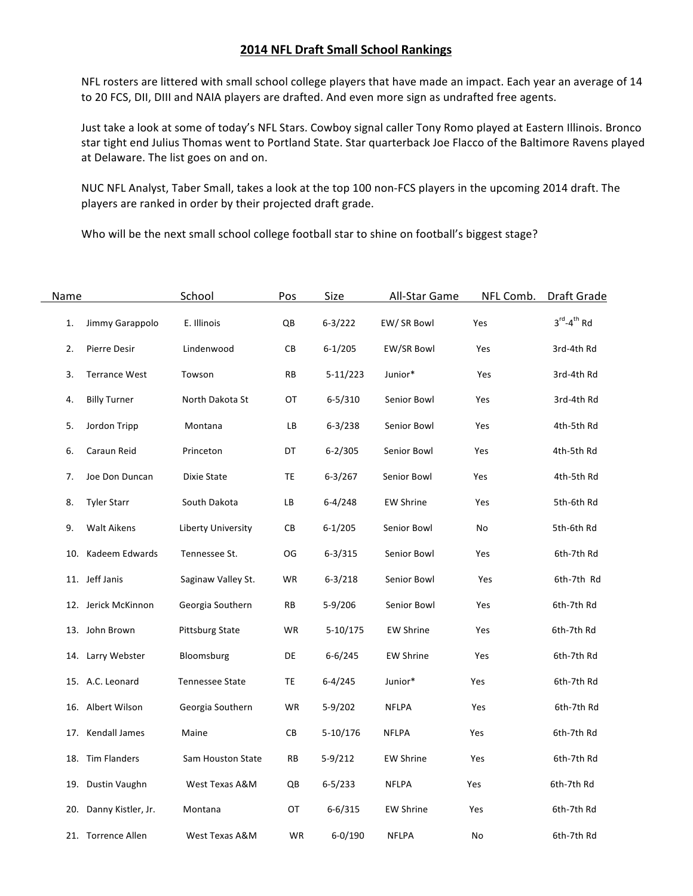## **2014 NFL Draft Small School Rankings**

NFL rosters are littered with small school college players that have made an impact. Each year an average of 14 to 20 FCS, DII, DIII and NAIA players are drafted. And even more sign as undrafted free agents.

Just take a look at some of today's NFL Stars. Cowboy signal caller Tony Romo played at Eastern Illinois. Bronco star tight end Julius Thomas went to Portland State. Star quarterback Joe Flacco of the Baltimore Ravens played at Delaware. The list goes on and on.

NUC NFL Analyst, Taber Small, takes a look at the top 100 non-FCS players in the upcoming 2014 draft. The players are ranked in order by their projected draft grade.

Who will be the next small school college football star to shine on football's biggest stage?

| Name |                        | School                 | Pos       | Size        | All-Star Game    | NFL Comb. | Draft Grade                        |
|------|------------------------|------------------------|-----------|-------------|------------------|-----------|------------------------------------|
| 1.   | Jimmy Garappolo        | E. Illinois            | QB        | $6 - 3/222$ | EW/ SR Bowl      | Yes       | $3^{\text{rd}} - 4^{\text{th}}$ Rd |
| 2.   | Pierre Desir           | Lindenwood             | CВ        | $6 - 1/205$ | EW/SR Bowl       | Yes       | 3rd-4th Rd                         |
| 3.   | <b>Terrance West</b>   | Towson                 | <b>RB</b> | $5-11/223$  | Junior*          | Yes       | 3rd-4th Rd                         |
| 4.   | <b>Billy Turner</b>    | North Dakota St        | OT        | $6 - 5/310$ | Senior Bowl      | Yes       | 3rd-4th Rd                         |
| 5.   | Jordon Tripp           | Montana                | LВ        | $6 - 3/238$ | Senior Bowl      | Yes       | 4th-5th Rd                         |
| 6.   | Caraun Reid            | Princeton              | DT        | $6 - 2/305$ | Senior Bowl      | Yes       | 4th-5th Rd                         |
| 7.   | Joe Don Duncan         | Dixie State            | TE        | $6 - 3/267$ | Senior Bowl      | Yes       | 4th-5th Rd                         |
| 8.   | <b>Tyler Starr</b>     | South Dakota           | LB        | $6 - 4/248$ | <b>EW Shrine</b> | Yes       | 5th-6th Rd                         |
| 9.   | <b>Walt Aikens</b>     | Liberty University     | CB        | $6 - 1/205$ | Senior Bowl      | No        | 5th-6th Rd                         |
| 10.  | Kadeem Edwards         | Tennessee St.          | OG        | $6 - 3/315$ | Senior Bowl      | Yes       | 6th-7th Rd                         |
|      | 11. Jeff Janis         | Saginaw Valley St.     | WR        | $6 - 3/218$ | Senior Bowl      | Yes       | 6th-7th Rd                         |
|      | 12. Jerick McKinnon    | Georgia Southern       | RB        | $5-9/206$   | Senior Bowl      | Yes       | 6th-7th Rd                         |
|      | 13. John Brown         | <b>Pittsburg State</b> | WR        | $5-10/175$  | <b>EW Shrine</b> | Yes       | 6th-7th Rd                         |
|      | 14. Larry Webster      | Bloomsburg             | DE        | $6 - 6/245$ | <b>EW Shrine</b> | Yes       | 6th-7th Rd                         |
|      | 15. A.C. Leonard       | <b>Tennessee State</b> | TE        | $6 - 4/245$ | Junior*          | Yes       | 6th-7th Rd                         |
|      | 16. Albert Wilson      | Georgia Southern       | WR        | $5-9/202$   | <b>NFLPA</b>     | Yes       | 6th-7th Rd                         |
|      | 17. Kendall James      | Maine                  | СB        | $5-10/176$  | <b>NFLPA</b>     | Yes       | 6th-7th Rd                         |
|      | 18. Tim Flanders       | Sam Houston State      | RB        | $5-9/212$   | <b>EW Shrine</b> | Yes       | 6th-7th Rd                         |
|      | 19. Dustin Vaughn      | West Texas A&M         | QB        | $6 - 5/233$ | <b>NFLPA</b>     | Yes       | 6th-7th Rd                         |
|      | 20. Danny Kistler, Jr. | Montana                | OT        | $6 - 6/315$ | <b>EW Shrine</b> | Yes       | 6th-7th Rd                         |
|      | 21. Torrence Allen     | West Texas A&M         | WR        | $6 - 0/190$ | <b>NFLPA</b>     | No        | 6th-7th Rd                         |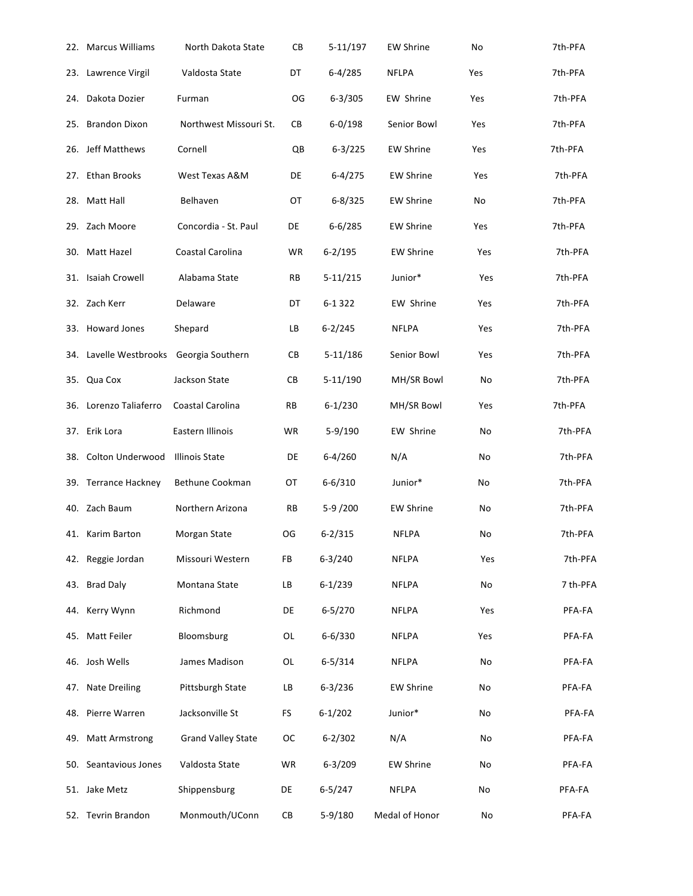| 22. Marcus Williams                     | North Dakota State        | CВ        | $5-11/197$  | <b>EW Shrine</b> | No  | 7th-PFA  |
|-----------------------------------------|---------------------------|-----------|-------------|------------------|-----|----------|
| 23. Lawrence Virgil                     | Valdosta State            | DT        | $6 - 4/285$ | <b>NFLPA</b>     | Yes | 7th-PFA  |
| 24. Dakota Dozier                       | Furman                    | OG        | $6 - 3/305$ | EW Shrine        | Yes | 7th-PFA  |
| 25. Brandon Dixon                       | Northwest Missouri St.    | CB        | $6 - 0/198$ | Senior Bowl      | Yes | 7th-PFA  |
| 26. Jeff Matthews                       | Cornell                   | QB        | $6 - 3/225$ | <b>EW Shrine</b> | Yes | 7th-PFA  |
| 27. Ethan Brooks                        | West Texas A&M            | DE        | $6-4/275$   | <b>EW Shrine</b> | Yes | 7th-PFA  |
| 28. Matt Hall                           | Belhaven                  | OT        | $6 - 8/325$ | <b>EW Shrine</b> | No  | 7th-PFA  |
| 29. Zach Moore                          | Concordia - St. Paul      | DE        | $6 - 6/285$ | <b>EW Shrine</b> | Yes | 7th-PFA  |
| 30. Matt Hazel                          | Coastal Carolina          | WR        | $6 - 2/195$ | <b>EW Shrine</b> | Yes | 7th-PFA  |
| 31. Isaiah Crowell                      | Alabama State             | <b>RB</b> | $5-11/215$  | Junior*          | Yes | 7th-PFA  |
| 32. Zach Kerr                           | Delaware                  | DT        | 6-1322      | EW Shrine        | Yes | 7th-PFA  |
| 33. Howard Jones                        | Shepard                   | <b>LB</b> | $6 - 2/245$ | <b>NFLPA</b>     | Yes | 7th-PFA  |
| 34. Lavelle Westbrooks Georgia Southern |                           | CB        | $5-11/186$  | Senior Bowl      | Yes | 7th-PFA  |
| 35. Qua Cox                             | Jackson State             | CB        | 5-11/190    | MH/SR Bowl       | No  | 7th-PFA  |
| 36. Lorenzo Taliaferro                  | Coastal Carolina          | <b>RB</b> | $6 - 1/230$ | MH/SR Bowl       | Yes | 7th-PFA  |
| 37. Erik Lora                           | Eastern Illinois          | WR        | 5-9/190     | EW Shrine        | No  | 7th-PFA  |
| 38. Colton Underwood                    | <b>Illinois State</b>     | DE        | $6 - 4/260$ | N/A              | No  | 7th-PFA  |
| 39. Terrance Hackney                    | Bethune Cookman           | OT        | $6 - 6/310$ | Junior*          | No  | 7th-PFA  |
| 40. Zach Baum                           | Northern Arizona          | RB        | 5-9 /200    | <b>EW Shrine</b> | No  | 7th-PFA  |
| 41. Karim Barton                        | Morgan State              | OG        | $6 - 2/315$ | <b>NFLPA</b>     | No  | 7th-PFA  |
| 42. Reggie Jordan                       | Missouri Western          | FB        | $6 - 3/240$ | <b>NFLPA</b>     | Yes | 7th-PFA  |
| 43. Brad Daly                           | Montana State             | LB        | $6 - 1/239$ | <b>NFLPA</b>     | No  | 7 th-PFA |
| 44. Kerry Wynn                          | Richmond                  | DE        | $6 - 5/270$ | <b>NFLPA</b>     | Yes | PFA-FA   |
| 45. Matt Feiler                         | Bloomsburg                | OL        | $6 - 6/330$ | <b>NFLPA</b>     | Yes | PFA-FA   |
| 46. Josh Wells                          | James Madison             | OL        | $6 - 5/314$ | <b>NFLPA</b>     | No  | PFA-FA   |
| 47. Nate Dreiling                       | Pittsburgh State          | LB        | $6 - 3/236$ | <b>EW Shrine</b> | No  | PFA-FA   |
| 48. Pierre Warren                       | Jacksonville St           | FS        | $6 - 1/202$ | Junior*          | No  | PFA-FA   |
| 49. Matt Armstrong                      | <b>Grand Valley State</b> | ОC        | $6 - 2/302$ | N/A              | No  | PFA-FA   |
| 50. Seantavious Jones                   | Valdosta State            | WR        | $6 - 3/209$ | <b>EW Shrine</b> | No  | PFA-FA   |
| 51. Jake Metz                           | Shippensburg              | DE        | $6 - 5/247$ | NFLPA            | No  | PFA-FA   |
| 52. Tevrin Brandon                      | Monmouth/UConn            | CВ        | 5-9/180     | Medal of Honor   | No  | PFA-FA   |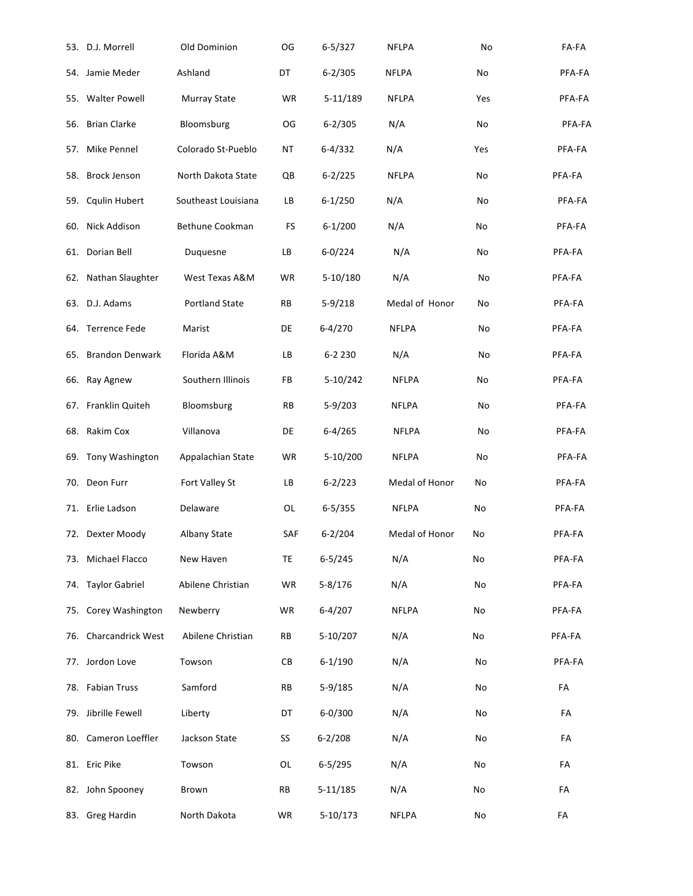|     | 53. D.J. Morrell      | Old Dominion          | OG        | $6 - 5/327$ | <b>NFLPA</b>   | No  | FA-FA      |
|-----|-----------------------|-----------------------|-----------|-------------|----------------|-----|------------|
|     | 54. Jamie Meder       | Ashland               | DT        | $6 - 2/305$ | <b>NFLPA</b>   | No  | PFA-FA     |
|     | 55. Walter Powell     | <b>Murray State</b>   | WR        | $5-11/189$  | <b>NFLPA</b>   | Yes | PFA-FA     |
|     | 56. Brian Clarke      | Bloomsburg            | OG        | $6 - 2/305$ | N/A            | No  | PFA-FA     |
|     | 57. Mike Pennel       | Colorado St-Pueblo    | ΝT        | $6 - 4/332$ | N/A            | Yes | PFA-FA     |
| 58. | <b>Brock Jenson</b>   | North Dakota State    | QB        | $6 - 2/225$ | <b>NFLPA</b>   | No  | PFA-FA     |
| 59. | Cqulin Hubert         | Southeast Louisiana   | LB        | $6 - 1/250$ | N/A            | No  | PFA-FA     |
|     | 60. Nick Addison      | Bethune Cookman       | FS        | $6 - 1/200$ | N/A            | No  | PFA-FA     |
|     | 61. Dorian Bell       | Duquesne              | LB        | $6 - 0/224$ | N/A            | No  | PFA-FA     |
|     | 62. Nathan Slaughter  | West Texas A&M        | WR        | $5-10/180$  | N/A            | No  | PFA-FA     |
|     | 63. D.J. Adams        | <b>Portland State</b> | RB        | $5-9/218$   | Medal of Honor | No  | PFA-FA     |
|     | 64. Terrence Fede     | Marist                | DE        | $6 - 4/270$ | <b>NFLPA</b>   | No  | PFA-FA     |
|     | 65. Brandon Denwark   | Florida A&M           | LB        | 6-2 2 3 0   | N/A            | No  | PFA-FA     |
|     | 66. Ray Agnew         | Southern Illinois     | FB        | 5-10/242    | <b>NFLPA</b>   | No  | PFA-FA     |
|     | 67. Franklin Quiteh   | Bloomsburg            | <b>RB</b> | $5-9/203$   | <b>NFLPA</b>   | No  | PFA-FA     |
|     | 68. Rakim Cox         | Villanova             | DE        | $6 - 4/265$ | <b>NFLPA</b>   | No  | PFA-FA     |
|     | 69. Tony Washington   | Appalachian State     | WR        | $5-10/200$  | <b>NFLPA</b>   | No  | PFA-FA     |
|     | 70. Deon Furr         | Fort Valley St        | LB        | $6 - 2/223$ | Medal of Honor | No  | PFA-FA     |
|     | 71. Erlie Ladson      | Delaware              | <b>OL</b> | $6 - 5/355$ | <b>NFLPA</b>   | No  | PFA-FA     |
|     | 72. Dexter Moody      | Albany State          | SAF       | $6 - 2/204$ | Medal of Honor | No  | PFA-FA     |
|     | 73. Michael Flacco    | New Haven             | TE        | $6 - 5/245$ | N/A            | No  | PFA-FA     |
|     | 74. Taylor Gabriel    | Abilene Christian     | WR        | $5 - 8/176$ | N/A            | No  | PFA-FA     |
|     | 75. Corey Washington  | Newberry              | WR        | $6 - 4/207$ | <b>NFLPA</b>   | No  | PFA-FA     |
|     | 76. Charcandrick West | Abilene Christian     | RB        | 5-10/207    | N/A            | No  | PFA-FA     |
|     | 77. Jordon Love       | Towson                | СB        | $6 - 1/190$ | N/A            | No  | PFA-FA     |
|     | 78. Fabian Truss      | Samford               | <b>RB</b> | $5-9/185$   | N/A            | No  | FA         |
|     | 79. Jibrille Fewell   | Liberty               | DT        | $6 - 0/300$ | N/A            | No  | FA         |
|     | 80. Cameron Loeffler  | Jackson State         | SS        | $6 - 2/208$ | N/A            | No  | FA         |
|     | 81. Eric Pike         | Towson                | OL        | $6 - 5/295$ | N/A            | No  | FA         |
|     | 82. John Spooney      | Brown                 | <b>RB</b> | 5-11/185    | N/A            | No  | FA         |
|     | 83. Greg Hardin       | North Dakota          | WR        | $5-10/173$  | <b>NFLPA</b>   | No  | ${\sf FA}$ |